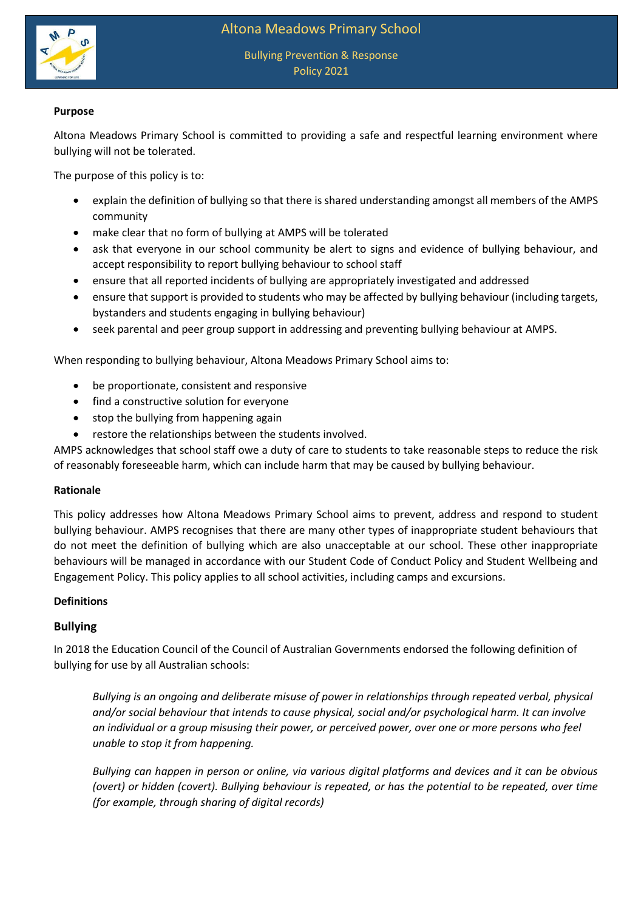



## **Purpose**

Altona Meadows Primary School is committed to providing a safe and respectful learning environment where bullying will not be tolerated.

The purpose of this policy is to:

- explain the definition of bullying so that there is shared understanding amongst all members of the AMPS community
- make clear that no form of bullying at AMPS will be tolerated
- ask that everyone in our school community be alert to signs and evidence of bullying behaviour, and accept responsibility to report bullying behaviour to school staff
- ensure that all reported incidents of bullying are appropriately investigated and addressed
- ensure that support is provided to students who may be affected by bullying behaviour (including targets, bystanders and students engaging in bullying behaviour)
- seek parental and peer group support in addressing and preventing bullying behaviour at AMPS.

When responding to bullying behaviour, Altona Meadows Primary School aims to:

- be proportionate, consistent and responsive
- find a constructive solution for everyone
- stop the bullying from happening again
- restore the relationships between the students involved.

AMPS acknowledges that school staff owe a duty of care to students to take reasonable steps to reduce the risk of reasonably foreseeable harm, which can include harm that may be caused by bullying behaviour.

### **Rationale**

This policy addresses how Altona Meadows Primary School aims to prevent, address and respond to student bullying behaviour. AMPS recognises that there are many other types of inappropriate student behaviours that do not meet the definition of bullying which are also unacceptable at our school. These other inappropriate behaviours will be managed in accordance with our Student Code of Conduct Policy and Student Wellbeing and Engagement Policy. This policy applies to all school activities, including camps and excursions.

### **Definitions**

# **Bullying**

In 2018 the Education Council of the Council of Australian Governments endorsed the following definition of bullying for use by all Australian schools:

*Bullying is an ongoing and deliberate misuse of power in relationships through repeated verbal, physical and/or social behaviour that intends to cause physical, social and/or psychological harm. It can involve an individual or a group misusing their power, or perceived power, over one or more persons who feel unable to stop it from happening.*

*Bullying can happen in person or online, via various digital platforms and devices and it can be obvious (overt) or hidden (covert). Bullying behaviour is repeated, or has the potential to be repeated, over time (for example, through sharing of digital records)*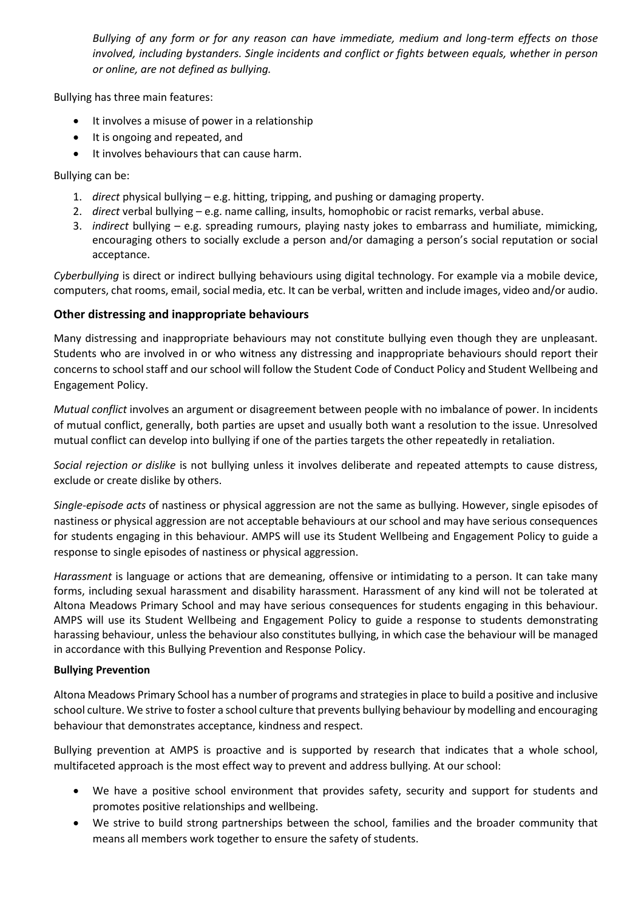*Bullying of any form or for any reason can have immediate, medium and long-term effects on those involved, including bystanders. Single incidents and conflict or fights between equals, whether in person or online, are not defined as bullying.* 

Bullying has three main features:

- It involves a misuse of power in a relationship
- It is ongoing and repeated, and
- It involves behaviours that can cause harm.

Bullying can be:

- 1. *direct* physical bullying e.g. hitting, tripping, and pushing or damaging property.
- 2. *direct* verbal bullying e.g. name calling, insults, homophobic or racist remarks, verbal abuse.
- 3. *indirect* bullying e.g. spreading rumours, playing nasty jokes to embarrass and humiliate, mimicking, encouraging others to socially exclude a person and/or damaging a person's social reputation or social acceptance.

*Cyberbullying* is direct or indirect bullying behaviours using digital technology. For example via a mobile device, computers, chat rooms, email, social media, etc. It can be verbal, written and include images, video and/or audio.

# **Other distressing and inappropriate behaviours**

Many distressing and inappropriate behaviours may not constitute bullying even though they are unpleasant. Students who are involved in or who witness any distressing and inappropriate behaviours should report their concerns to school staff and our school will follow the Student Code of Conduct Policy and Student Wellbeing and Engagement Policy.

*Mutual conflict* involves an argument or disagreement between people with no imbalance of power. In incidents of mutual conflict, generally, both parties are upset and usually both want a resolution to the issue. Unresolved mutual conflict can develop into bullying if one of the parties targets the other repeatedly in retaliation.

*Social rejection or dislike* is not bullying unless it involves deliberate and repeated attempts to cause distress, exclude or create dislike by others.

*Single-episode acts* of nastiness or physical aggression are not the same as bullying. However, single episodes of nastiness or physical aggression are not acceptable behaviours at our school and may have serious consequences for students engaging in this behaviour. AMPS will use its Student Wellbeing and Engagement Policy to guide a response to single episodes of nastiness or physical aggression.

*Harassment* is language or actions that are demeaning, offensive or intimidating to a person. It can take many forms, including sexual harassment and disability harassment. Harassment of any kind will not be tolerated at Altona Meadows Primary School and may have serious consequences for students engaging in this behaviour. AMPS will use its Student Wellbeing and Engagement Policy to guide a response to students demonstrating harassing behaviour, unless the behaviour also constitutes bullying, in which case the behaviour will be managed in accordance with this Bullying Prevention and Response Policy.

# **Bullying Prevention**

Altona Meadows Primary School has a number of programs and strategies in place to build a positive and inclusive school culture. We strive to foster a school culture that prevents bullying behaviour by modelling and encouraging behaviour that demonstrates acceptance, kindness and respect.

Bullying prevention at AMPS is proactive and is supported by research that indicates that a whole school, multifaceted approach is the most effect way to prevent and address bullying. At our school:

- We have a positive school environment that provides safety, security and support for students and promotes positive relationships and wellbeing.
- We strive to build strong partnerships between the school, families and the broader community that means all members work together to ensure the safety of students.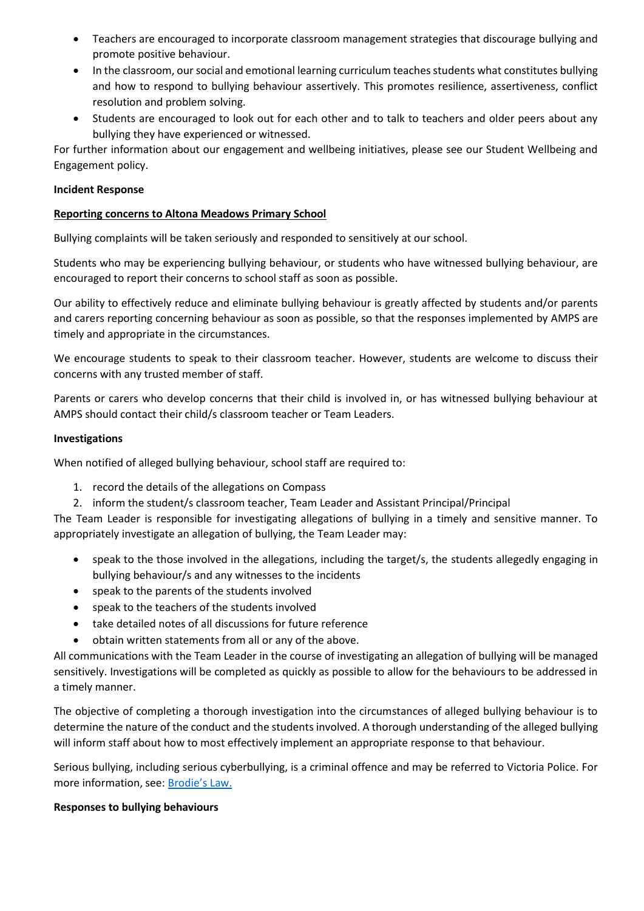- Teachers are encouraged to incorporate classroom management strategies that discourage bullying and promote positive behaviour.
- In the classroom, our social and emotional learning curriculum teaches students what constitutes bullying and how to respond to bullying behaviour assertively. This promotes resilience, assertiveness, conflict resolution and problem solving.
- Students are encouraged to look out for each other and to talk to teachers and older peers about any bullying they have experienced or witnessed.

For further information about our engagement and wellbeing initiatives, please see our Student Wellbeing and Engagement policy.

### **Incident Response**

### **Reporting concerns to Altona Meadows Primary School**

Bullying complaints will be taken seriously and responded to sensitively at our school.

Students who may be experiencing bullying behaviour, or students who have witnessed bullying behaviour, are encouraged to report their concerns to school staff as soon as possible.

Our ability to effectively reduce and eliminate bullying behaviour is greatly affected by students and/or parents and carers reporting concerning behaviour as soon as possible, so that the responses implemented by AMPS are timely and appropriate in the circumstances.

We encourage students to speak to their classroom teacher. However, students are welcome to discuss their concerns with any trusted member of staff.

Parents or carers who develop concerns that their child is involved in, or has witnessed bullying behaviour at AMPS should contact their child/s classroom teacher or Team Leaders.

### **Investigations**

When notified of alleged bullying behaviour, school staff are required to:

- 1. record the details of the allegations on Compass
- 2. inform the student/s classroom teacher, Team Leader and Assistant Principal/Principal

The Team Leader is responsible for investigating allegations of bullying in a timely and sensitive manner. To appropriately investigate an allegation of bullying, the Team Leader may:

- speak to the those involved in the allegations, including the target/s, the students allegedly engaging in bullying behaviour/s and any witnesses to the incidents
- speak to the parents of the students involved
- speak to the teachers of the students involved
- take detailed notes of all discussions for future reference
- obtain written statements from all or any of the above.

All communications with the Team Leader in the course of investigating an allegation of bullying will be managed sensitively. Investigations will be completed as quickly as possible to allow for the behaviours to be addressed in a timely manner.

The objective of completing a thorough investigation into the circumstances of alleged bullying behaviour is to determine the nature of the conduct and the students involved. A thorough understanding of the alleged bullying will inform staff about how to most effectively implement an appropriate response to that behaviour.

Serious bullying, including serious cyberbullying, is a criminal offence and may be referred to Victoria Police. For more information, see: [Brodie's Law.](http://www.education.vic.gov.au/about/programs/bullystoppers/Pages/advicesheetbrodieslaw.aspx)

### **Responses to bullying behaviours**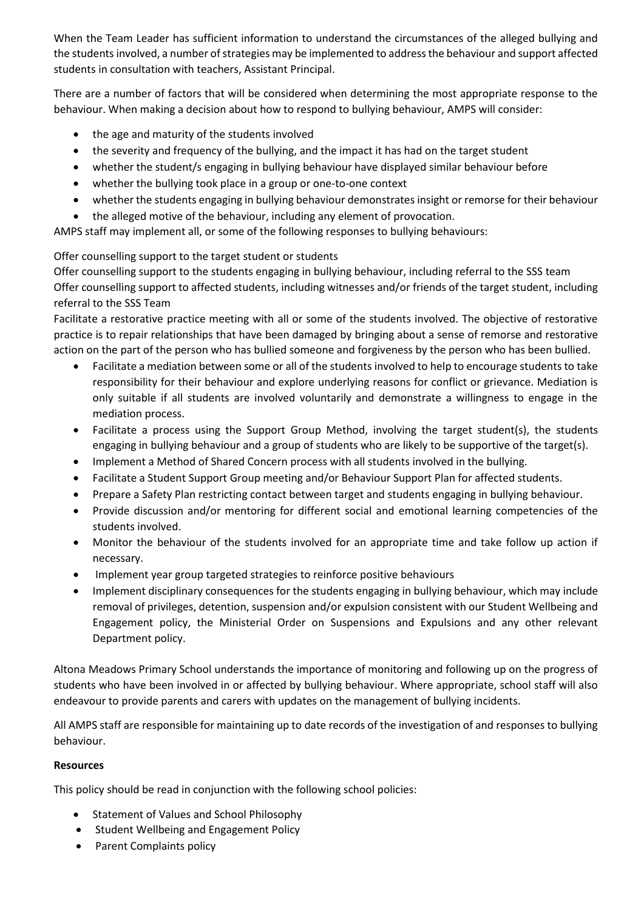When the Team Leader has sufficient information to understand the circumstances of the alleged bullying and the students involved, a number of strategies may be implemented to address the behaviour and support affected students in consultation with teachers, Assistant Principal.

There are a number of factors that will be considered when determining the most appropriate response to the behaviour. When making a decision about how to respond to bullying behaviour, AMPS will consider:

- the age and maturity of the students involved
- the severity and frequency of the bullying, and the impact it has had on the target student
- whether the student/s engaging in bullying behaviour have displayed similar behaviour before
- whether the bullying took place in a group or one-to-one context
- whether the students engaging in bullying behaviour demonstrates insight or remorse for their behaviour
- the alleged motive of the behaviour, including any element of provocation.

AMPS staff may implement all, or some of the following responses to bullying behaviours:

# Offer counselling support to the target student or students

Offer counselling support to the students engaging in bullying behaviour, including referral to the SSS team Offer counselling support to affected students, including witnesses and/or friends of the target student, including referral to the SSS Team

Facilitate a restorative practice meeting with all or some of the students involved. The objective of restorative practice is to repair relationships that have been damaged by bringing about a sense of remorse and restorative action on the part of the person who has bullied someone and forgiveness by the person who has been bullied.

- Facilitate a mediation between some or all of the students involved to help to encourage students to take responsibility for their behaviour and explore underlying reasons for conflict or grievance. Mediation is only suitable if all students are involved voluntarily and demonstrate a willingness to engage in the mediation process.
- Facilitate a process using the Support Group Method, involving the target student(s), the students engaging in bullying behaviour and a group of students who are likely to be supportive of the target(s).
- Implement a Method of Shared Concern process with all students involved in the bullying.
- Facilitate a Student Support Group meeting and/or Behaviour Support Plan for affected students.
- Prepare a Safety Plan restricting contact between target and students engaging in bullying behaviour.
- Provide discussion and/or mentoring for different social and emotional learning competencies of the students involved.
- Monitor the behaviour of the students involved for an appropriate time and take follow up action if necessary.
- Implement year group targeted strategies to reinforce positive behaviours
- Implement disciplinary consequences for the students engaging in bullying behaviour, which may include removal of privileges, detention, suspension and/or expulsion consistent with our Student Wellbeing and Engagement policy, the Ministerial Order on Suspensions and Expulsions and any other relevant Department policy.

Altona Meadows Primary School understands the importance of monitoring and following up on the progress of students who have been involved in or affected by bullying behaviour. Where appropriate, school staff will also endeavour to provide parents and carers with updates on the management of bullying incidents.

All AMPS staff are responsible for maintaining up to date records of the investigation of and responses to bullying behaviour.

# **Resources**

This policy should be read in conjunction with the following school policies:

- **•** Statement of Values and School Philosophy
- Student Wellbeing and Engagement Policy
- Parent Complaints policy